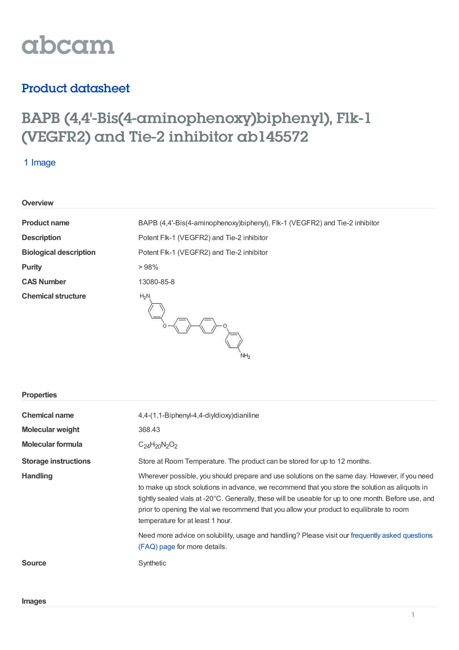

# Product datasheet

# BAPB (4,4'-Bis(4-aminophenoxy)biphenyl), Flk-1 (VEGFR2) and Tie-2 inhibitor ab145572

## 1 Image

|  | <b>Overview</b> |  |
|--|-----------------|--|
|  |                 |  |

| <b>Product name</b>           | BAPB (4,4'-Bis(4-aminophenoxy)biphenyl), Flk-1 (VEGFR2) and Tie-2 inhibitor |
|-------------------------------|-----------------------------------------------------------------------------|
| <b>Description</b>            | Potent Flk-1 (VEGFR2) and Tie-2 inhibitor                                   |
| <b>Biological description</b> | Potent Flk-1 (VEGFR2) and Tie-2 inhibitor                                   |
| <b>Purity</b>                 | >98%                                                                        |
| <b>CAS Number</b>             | 13080-85-8                                                                  |
| <b>Chemical structure</b>     | $H_2N$<br>NH <sub>2</sub>                                                   |

### **Properties**

| <b>Chemical name</b><br>Molecular weight<br>Molecular formula | 4,4-(1,1-Biphenyl-4,4-diyldioxy)dianiline<br>368.43<br>$C_{24}H_{20}N_2O_2$                                                                                                                                                                                                                                                                                                                                                              |
|---------------------------------------------------------------|------------------------------------------------------------------------------------------------------------------------------------------------------------------------------------------------------------------------------------------------------------------------------------------------------------------------------------------------------------------------------------------------------------------------------------------|
| <b>Storage instructions</b>                                   | Store at Room Temperature. The product can be stored for up to 12 months.                                                                                                                                                                                                                                                                                                                                                                |
| <b>Handling</b>                                               | Wherever possible, you should prepare and use solutions on the same day. However, if you need<br>to make up stock solutions in advance, we recommend that you store the solution as aliquots in<br>tightly sealed vials at -20°C. Generally, these will be useable for up to one month. Before use, and<br>prior to opening the vial we recommend that you allow your product to equilibrate to room<br>temperature for at least 1 hour. |
|                                                               | Need more advice on solubility, usage and handling? Please visit our frequently asked questions<br>(FAQ) page for more details.                                                                                                                                                                                                                                                                                                          |
| <b>Source</b>                                                 | Synthetic                                                                                                                                                                                                                                                                                                                                                                                                                                |